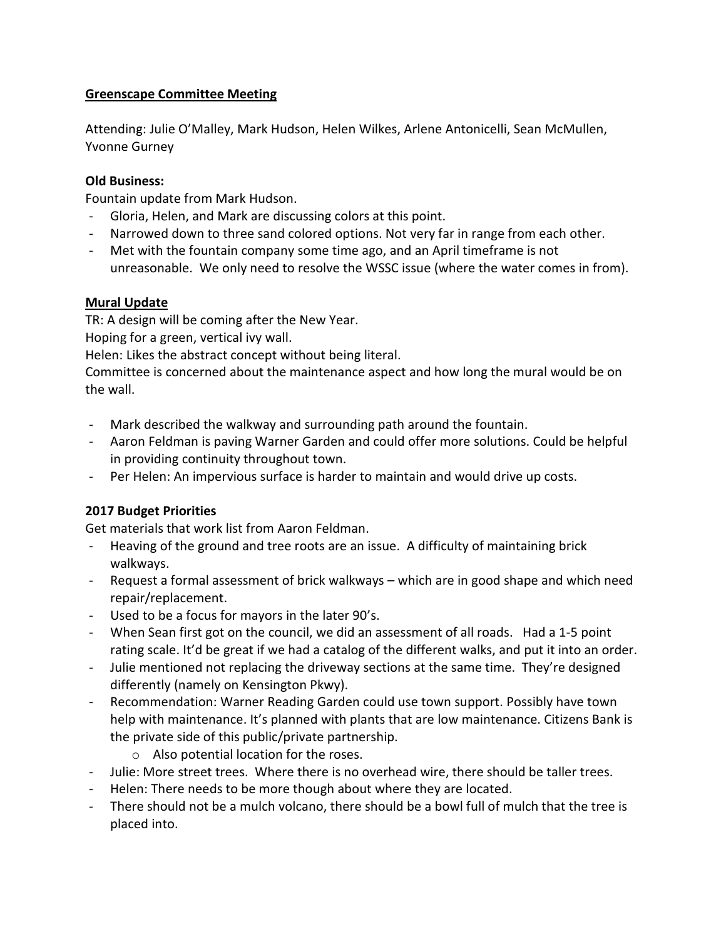## Greenscape Committee Meeting

Attending: Julie O'Malley, Mark Hudson, Helen Wilkes, Arlene Antonicelli, Sean McMullen, Yvonne Gurney

### Old Business:

Fountain update from Mark Hudson.

- Gloria, Helen, and Mark are discussing colors at this point.
- Narrowed down to three sand colored options. Not very far in range from each other.
- Met with the fountain company some time ago, and an April timeframe is not unreasonable. We only need to resolve the WSSC issue (where the water comes in from).

## Mural Update

TR: A design will be coming after the New Year.

Hoping for a green, vertical ivy wall.

Helen: Likes the abstract concept without being literal.

Committee is concerned about the maintenance aspect and how long the mural would be on the wall.

- Mark described the walkway and surrounding path around the fountain.
- Aaron Feldman is paving Warner Garden and could offer more solutions. Could be helpful in providing continuity throughout town.
- Per Helen: An impervious surface is harder to maintain and would drive up costs.

# 2017 Budget Priorities

Get materials that work list from Aaron Feldman.

- Heaving of the ground and tree roots are an issue. A difficulty of maintaining brick walkways.
- Request a formal assessment of brick walkways which are in good shape and which need repair/replacement.
- Used to be a focus for mayors in the later 90's.
- When Sean first got on the council, we did an assessment of all roads. Had a 1-5 point rating scale. It'd be great if we had a catalog of the different walks, and put it into an order.
- Julie mentioned not replacing the driveway sections at the same time. They're designed differently (namely on Kensington Pkwy).
- Recommendation: Warner Reading Garden could use town support. Possibly have town help with maintenance. It's planned with plants that are low maintenance. Citizens Bank is the private side of this public/private partnership.
	- o Also potential location for the roses.
- Julie: More street trees. Where there is no overhead wire, there should be taller trees.
- Helen: There needs to be more though about where they are located.
- There should not be a mulch volcano, there should be a bowl full of mulch that the tree is placed into.